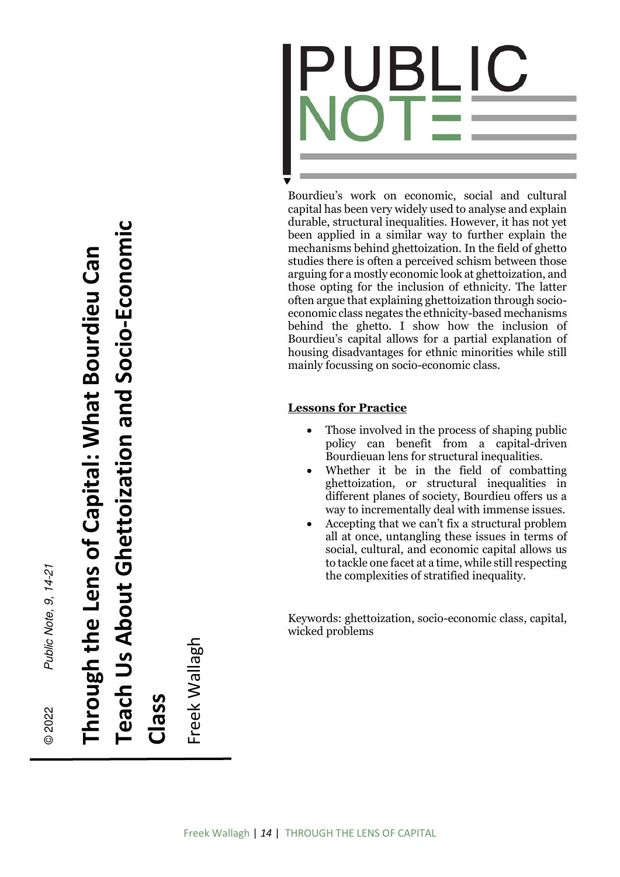

Bourdieu's work on economic, social and cultural capital has been very widely used to analyse and explain durable, structural inequalities. However, it has not yet been applied in a similar way to further explain the mechanisms behind ghettoization. In the field of ghetto studies there is often a perceived schism between those arguing for a mostly economic look at ghettoization, and those opting for the inclusion of ethnicity. The latter often argue that explaining ghettoization through socioeconomic class negates the ethnicity-based mechanisms behind the ghetto. I show how the inclusion of Bourdieu's capital allows for a partial explanation of housing disadvantages for ethnic minorities while still mainly focussing on socio-economic class.

## **Lessons for Practice**

- Those involved in the process of shaping public policy can benefit from a capital-driven Bourdieuan lens for structural inequalities.
- Whether it be in the field of combatting ghettoization, or structural inequalities in different planes of society, Bourdieu offers us a way to incrementally deal with immense issues.
- Accepting that we can't fix a structural problem all at once, untangling these issues in terms of social, cultural, and economic capital allows us to tackle one facet at a time, while still respecting the complexities of stratified inequality.

Keywords: ghettoization, socio-economic class, capital, wicked problems

**Teach Us About Ghettoization and Socio-Economic** 

Teach Us About Ghettoization and Socio-Economic

© 2022

Public Note, 9, 14-21

Freek Wallagh Freek Wallagh **Class**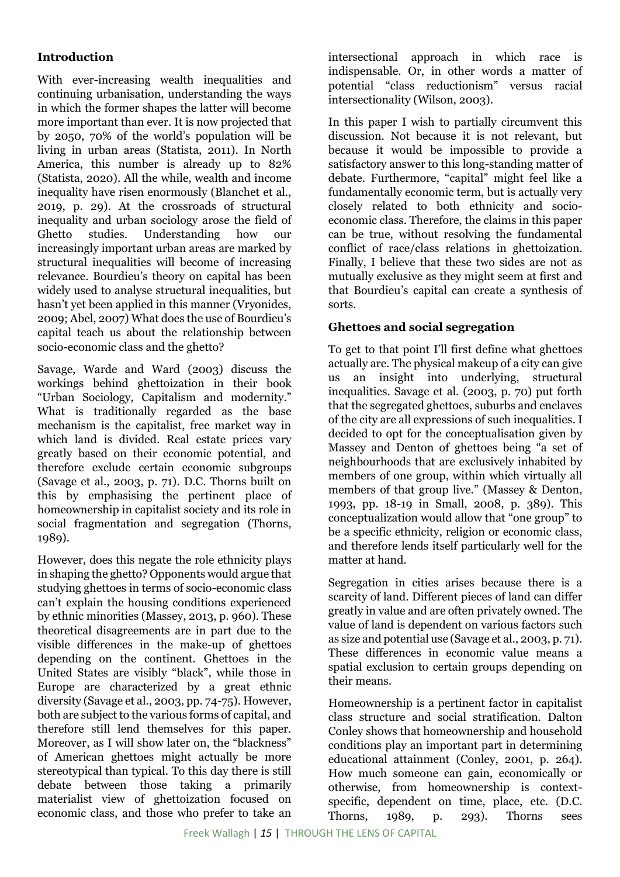# **Introduction**

With ever-increasing wealth inequalities and continuing urbanisation, understanding the ways in which the former shapes the latter will become more important than ever. It is now projected that by 2050, 70% of the world's population will be living in urban areas (Statista, 2011). In North America, this number is already up to 82% (Statista, 2020). All the while, wealth and income inequality have risen enormously (Blanchet et al., 2019, p. 29). At the crossroads of structural inequality and urban sociology arose the field of Ghetto studies. Understanding how our increasingly important urban areas are marked by structural inequalities will become of increasing relevance. Bourdieu's theory on capital has been widely used to analyse structural inequalities, but hasn't yet been applied in this manner (Vryonides, 2009; Abel, 2007) What does the use of Bourdieu's capital teach us about the relationship between socio-economic class and the ghetto?

Savage, Warde and Ward (2003) discuss the workings behind ghettoization in their book "Urban Sociology, Capitalism and modernity." What is traditionally regarded as the base mechanism is the capitalist, free market way in which land is divided. Real estate prices vary greatly based on their economic potential, and therefore exclude certain economic subgroups (Savage et al., 2003, p. 71). D.C. Thorns built on this by emphasising the pertinent place of homeownership in capitalist society and its role in social fragmentation and segregation (Thorns, 1989).

However, does this negate the role ethnicity plays in shaping the ghetto? Opponents would argue that studying ghettoes in terms of socio-economic class can't explain the housing conditions experienced by ethnic minorities (Massey, 2013, p. 960). These theoretical disagreements are in part due to the visible differences in the make-up of ghettoes depending on the continent. Ghettoes in the United States are visibly "black", while those in Europe are characterized by a great ethnic diversity (Savage et al., 2003, pp. 74-75). However, both are subject to the various forms of capital, and therefore still lend themselves for this paper. Moreover, as I will show later on, the "blackness" of American ghettoes might actually be more stereotypical than typical. To this day there is still debate between those taking a primarily materialist view of ghettoization focused on economic class, and those who prefer to take an

intersectional approach in which race is indispensable. Or, in other words a matter of potential "class reductionism" versus racial intersectionality (Wilson, 2003).

In this paper I wish to partially circumvent this discussion. Not because it is not relevant, but because it would be impossible to provide a satisfactory answer to this long-standing matter of debate. Furthermore, "capital" might feel like a fundamentally economic term, but is actually very closely related to both ethnicity and socioeconomic class. Therefore, the claims in this paper can be true, without resolving the fundamental conflict of race/class relations in ghettoization. Finally, I believe that these two sides are not as mutually exclusive as they might seem at first and that Bourdieu's capital can create a synthesis of sorts.

### **Ghettoes and social segregation**

To get to that point I'll first define what ghettoes actually are. The physical makeup of a city can give us an insight into underlying, structural inequalities. Savage et al. (2003, p. 70) put forth that the segregated ghettoes, suburbs and enclaves of the city are all expressions of such inequalities. I decided to opt for the conceptualisation given by Massey and Denton of ghettoes being "a set of neighbourhoods that are exclusively inhabited by members of one group, within which virtually all members of that group live." (Massey & Denton, 1993, pp. 18-19 in Small, 2008, p. 389). This conceptualization would allow that "one group" to be a specific ethnicity, religion or economic class, and therefore lends itself particularly well for the matter at hand.

Segregation in cities arises because there is a scarcity of land. Different pieces of land can differ greatly in value and are often privately owned. The value of land is dependent on various factors such as size and potential use (Savage et al., 2003, p. 71). These differences in economic value means a spatial exclusion to certain groups depending on their means.

Homeownership is a pertinent factor in capitalist class structure and social stratification. Dalton Conley shows that homeownership and household conditions play an important part in determining educational attainment (Conley, 2001, p. 264). How much someone can gain, economically or otherwise, from homeownership is contextspecific, dependent on time, place, etc. (D.C. Thorns, 1989, p. 293). Thorns sees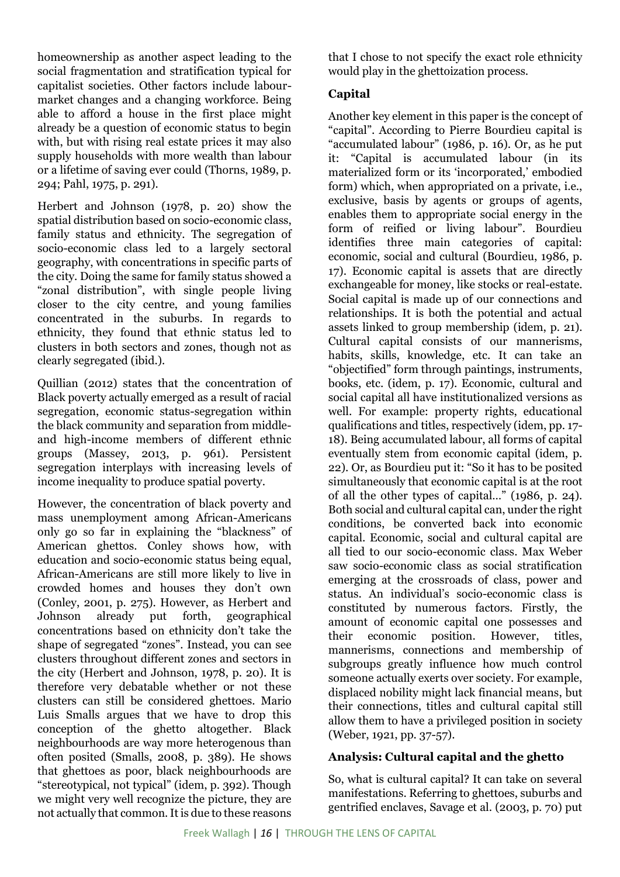homeownership as another aspect leading to the social fragmentation and stratification typical for capitalist societies. Other factors include labourmarket changes and a changing workforce. Being able to afford a house in the first place might already be a question of economic status to begin with, but with rising real estate prices it may also supply households with more wealth than labour or a lifetime of saving ever could (Thorns, 1989, p. 294; Pahl, 1975, p. 291).

Herbert and Johnson (1978, p. 20) show the spatial distribution based on socio-economic class, family status and ethnicity. The segregation of socio-economic class led to a largely sectoral geography, with concentrations in specific parts of the city. Doing the same for family status showed a "zonal distribution", with single people living closer to the city centre, and young families concentrated in the suburbs. In regards to ethnicity, they found that ethnic status led to clusters in both sectors and zones, though not as clearly segregated (ibid.).

Quillian (2012) states that the concentration of Black poverty actually emerged as a result of racial segregation, economic status-segregation within the black community and separation from middleand high-income members of different ethnic groups (Massey, 2013, p. 961). Persistent segregation interplays with increasing levels of income inequality to produce spatial poverty.

However, the concentration of black poverty and mass unemployment among African-Americans only go so far in explaining the "blackness" of American ghettos. Conley shows how, with education and socio-economic status being equal, African-Americans are still more likely to live in crowded homes and houses they don't own (Conley, 2001, p. 275). However, as Herbert and Johnson already put forth, geographical concentrations based on ethnicity don't take the shape of segregated "zones". Instead, you can see clusters throughout different zones and sectors in the city (Herbert and Johnson, 1978, p. 20). It is therefore very debatable whether or not these clusters can still be considered ghettoes. Mario Luis Smalls argues that we have to drop this conception of the ghetto altogether. Black neighbourhoods are way more heterogenous than often posited (Smalls, 2008, p. 389). He shows that ghettoes as poor, black neighbourhoods are "stereotypical, not typical" (idem, p. 392). Though we might very well recognize the picture, they are not actually that common. It is due to these reasons

that I chose to not specify the exact role ethnicity would play in the ghettoization process.

### **Capital**

Another key element in this paper is the concept of "capital". According to Pierre Bourdieu capital is "accumulated labour" (1986, p. 16). Or, as he put it: "Capital is accumulated labour (in its materialized form or its 'incorporated,' embodied form) which, when appropriated on a private, i.e., exclusive, basis by agents or groups of agents, enables them to appropriate social energy in the form of reified or living labour". Bourdieu identifies three main categories of capital: economic, social and cultural (Bourdieu, 1986, p. 17). Economic capital is assets that are directly exchangeable for money, like stocks or real-estate. Social capital is made up of our connections and relationships. It is both the potential and actual assets linked to group membership (idem, p. 21). Cultural capital consists of our mannerisms, habits, skills, knowledge, etc. It can take an "objectified" form through paintings, instruments, books, etc. (idem, p. 17). Economic, cultural and social capital all have institutionalized versions as well. For example: property rights, educational qualifications and titles, respectively (idem, pp. 17- 18). Being accumulated labour, all forms of capital eventually stem from economic capital (idem, p. 22). Or, as Bourdieu put it: "So it has to be posited simultaneously that economic capital is at the root of all the other types of capital…" (1986, p. 24). Both social and cultural capital can, under the right conditions, be converted back into economic capital. Economic, social and cultural capital are all tied to our socio-economic class. Max Weber saw socio-economic class as social stratification emerging at the crossroads of class, power and status. An individual's socio-economic class is constituted by numerous factors. Firstly, the amount of economic capital one possesses and their economic position. However, titles, mannerisms, connections and membership of subgroups greatly influence how much control someone actually exerts over society. For example, displaced nobility might lack financial means, but their connections, titles and cultural capital still allow them to have a privileged position in society (Weber, 1921, pp. 37-57).

### **Analysis: Cultural capital and the ghetto**

So, what is cultural capital? It can take on several manifestations. Referring to ghettoes, suburbs and gentrified enclaves, Savage et al. (2003, p. 70) put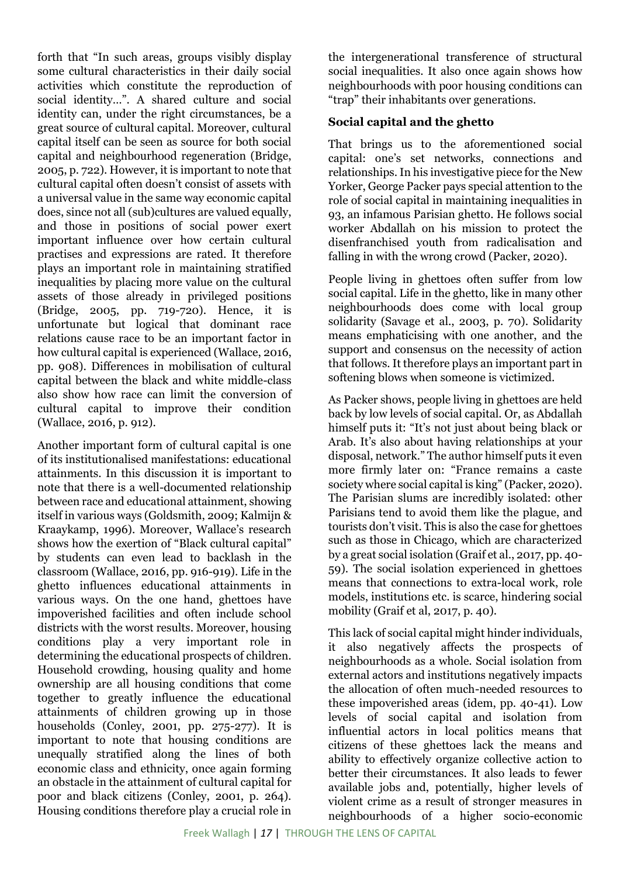forth that "In such areas, groups visibly display some cultural characteristics in their daily social activities which constitute the reproduction of social identity…". A shared culture and social identity can, under the right circumstances, be a great source of cultural capital. Moreover, cultural capital itself can be seen as source for both social capital and neighbourhood regeneration (Bridge, 2005, p. 722). However, it is important to note that cultural capital often doesn't consist of assets with a universal value in the same way economic capital does, since not all (sub)cultures are valued equally, and those in positions of social power exert important influence over how certain cultural practises and expressions are rated. It therefore plays an important role in maintaining stratified inequalities by placing more value on the cultural assets of those already in privileged positions (Bridge, 2005, pp. 719-720). Hence, it is unfortunate but logical that dominant race relations cause race to be an important factor in how cultural capital is experienced (Wallace, 2016, pp. 908). Differences in mobilisation of cultural capital between the black and white middle-class also show how race can limit the conversion of cultural capital to improve their condition (Wallace, 2016, p. 912).

Another important form of cultural capital is one of its institutionalised manifestations: educational attainments. In this discussion it is important to note that there is a well-documented relationship between race and educational attainment, showing itself in various ways (Goldsmith, 2009; Kalmijn & Kraaykamp, 1996). Moreover, Wallace's research shows how the exertion of "Black cultural capital" by students can even lead to backlash in the classroom (Wallace, 2016, pp. 916-919). Life in the ghetto influences educational attainments in various ways. On the one hand, ghettoes have impoverished facilities and often include school districts with the worst results. Moreover, housing conditions play a very important role in determining the educational prospects of children. Household crowding, housing quality and home ownership are all housing conditions that come together to greatly influence the educational attainments of children growing up in those households (Conley, 2001, pp. 275-277). It is important to note that housing conditions are unequally stratified along the lines of both economic class and ethnicity, once again forming an obstacle in the attainment of cultural capital for poor and black citizens (Conley, 2001, p. 264). Housing conditions therefore play a crucial role in

the intergenerational transference of structural social inequalities. It also once again shows how neighbourhoods with poor housing conditions can "trap" their inhabitants over generations.

#### **Social capital and the ghetto**

That brings us to the aforementioned social capital: one's set networks, connections and relationships. In his investigative piece for the New Yorker, George Packer pays special attention to the role of social capital in maintaining inequalities in 93, an infamous Parisian ghetto. He follows social worker Abdallah on his mission to protect the disenfranchised youth from radicalisation and falling in with the wrong crowd (Packer, 2020).

People living in ghettoes often suffer from low social capital. Life in the ghetto, like in many other neighbourhoods does come with local group solidarity (Savage et al., 2003, p. 70). Solidarity means emphaticising with one another, and the support and consensus on the necessity of action that follows. It therefore plays an important part in softening blows when someone is victimized.

As Packer shows, people living in ghettoes are held back by low levels of social capital. Or, as Abdallah himself puts it: "It's not just about being black or Arab. It's also about having relationships at your disposal, network." The author himself puts it even more firmly later on: "France remains a caste society where social capital is king" (Packer, 2020). The Parisian slums are incredibly isolated: other Parisians tend to avoid them like the plague, and tourists don't visit. This is also the case for ghettoes such as those in Chicago, which are characterized by a great social isolation (Graif et al., 2017, pp. 40- 59). The social isolation experienced in ghettoes means that connections to extra-local work, role models, institutions etc. is scarce, hindering social mobility (Graif et al, 2017, p. 40).

This lack of social capital might hinder individuals, it also negatively affects the prospects of neighbourhoods as a whole. Social isolation from external actors and institutions negatively impacts the allocation of often much-needed resources to these impoverished areas (idem, pp. 40-41). Low levels of social capital and isolation from influential actors in local politics means that citizens of these ghettoes lack the means and ability to effectively organize collective action to better their circumstances. It also leads to fewer available jobs and, potentially, higher levels of violent crime as a result of stronger measures in neighbourhoods of a higher socio-economic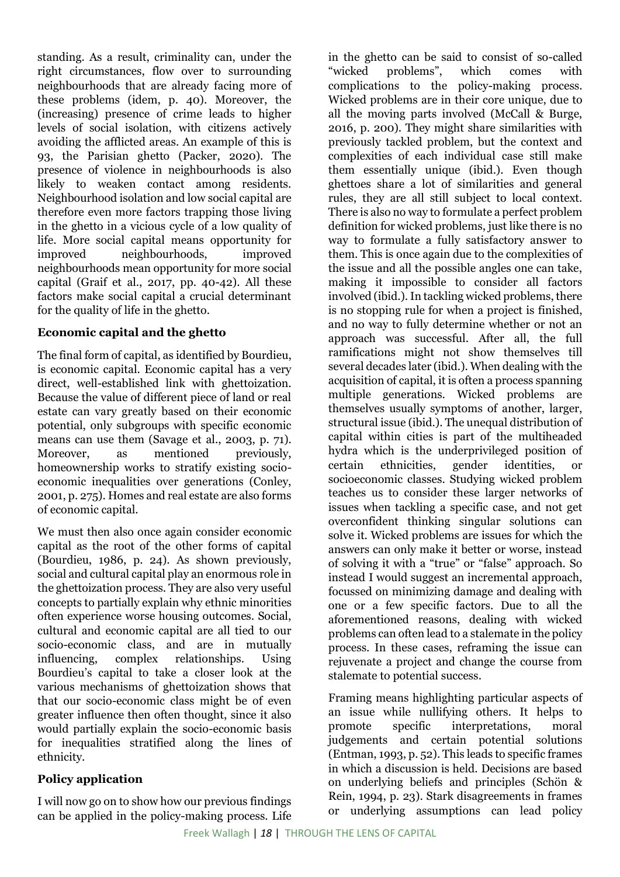standing. As a result, criminality can, under the right circumstances, flow over to surrounding neighbourhoods that are already facing more of these problems (idem, p. 40). Moreover, the (increasing) presence of crime leads to higher levels of social isolation, with citizens actively avoiding the afflicted areas. An example of this is 93, the Parisian ghetto (Packer, 2020). The presence of violence in neighbourhoods is also likely to weaken contact among residents. Neighbourhood isolation and low social capital are therefore even more factors trapping those living in the ghetto in a vicious cycle of a low quality of life. More social capital means opportunity for improved neighbourhoods, improved neighbourhoods mean opportunity for more social capital (Graif et al., 2017, pp. 40-42). All these factors make social capital a crucial determinant for the quality of life in the ghetto.

### **Economic capital and the ghetto**

The final form of capital, as identified by Bourdieu, is economic capital. Economic capital has a very direct, well-established link with ghettoization. Because the value of different piece of land or real estate can vary greatly based on their economic potential, only subgroups with specific economic means can use them (Savage et al., 2003, p. 71). Moreover, as mentioned previously, homeownership works to stratify existing socioeconomic inequalities over generations (Conley, 2001, p. 275). Homes and real estate are also forms of economic capital.

We must then also once again consider economic capital as the root of the other forms of capital (Bourdieu, 1986, p. 24). As shown previously, social and cultural capital play an enormous role in the ghettoization process. They are also very useful concepts to partially explain why ethnic minorities often experience worse housing outcomes. Social, cultural and economic capital are all tied to our socio-economic class, and are in mutually influencing, complex relationships. Using Bourdieu's capital to take a closer look at the various mechanisms of ghettoization shows that that our socio-economic class might be of even greater influence then often thought, since it also would partially explain the socio-economic basis for inequalities stratified along the lines of ethnicity.

# **Policy application**

I will now go on to show how our previous findings can be applied in the policy-making process. Life

in the ghetto can be said to consist of so-called "wicked problems", which comes with complications to the policy-making process. Wicked problems are in their core unique, due to all the moving parts involved (McCall & Burge, 2016, p. 200). They might share similarities with previously tackled problem, but the context and complexities of each individual case still make them essentially unique (ibid.). Even though ghettoes share a lot of similarities and general rules, they are all still subject to local context. There is also no way to formulate a perfect problem definition for wicked problems, just like there is no way to formulate a fully satisfactory answer to them. This is once again due to the complexities of the issue and all the possible angles one can take, making it impossible to consider all factors involved (ibid.). In tackling wicked problems, there is no stopping rule for when a project is finished, and no way to fully determine whether or not an approach was successful. After all, the full ramifications might not show themselves till several decades later (ibid.). When dealing with the acquisition of capital, it is often a process spanning multiple generations. Wicked problems are themselves usually symptoms of another, larger, structural issue (ibid.). The unequal distribution of capital within cities is part of the multiheaded hydra which is the underprivileged position of certain ethnicities, gender identities, socioeconomic classes. Studying wicked problem teaches us to consider these larger networks of issues when tackling a specific case, and not get overconfident thinking singular solutions can solve it. Wicked problems are issues for which the answers can only make it better or worse, instead of solving it with a "true" or "false" approach. So instead I would suggest an incremental approach, focussed on minimizing damage and dealing with one or a few specific factors. Due to all the aforementioned reasons, dealing with wicked problems can often lead to a stalemate in the policy process. In these cases, reframing the issue can rejuvenate a project and change the course from stalemate to potential success.

Framing means highlighting particular aspects of an issue while nullifying others. It helps to promote specific interpretations, moral judgements and certain potential solutions (Entman, 1993, p. 52). This leads to specific frames in which a discussion is held. Decisions are based on underlying beliefs and principles (Schön & Rein, 1994, p. 23). Stark disagreements in frames or underlying assumptions can lead policy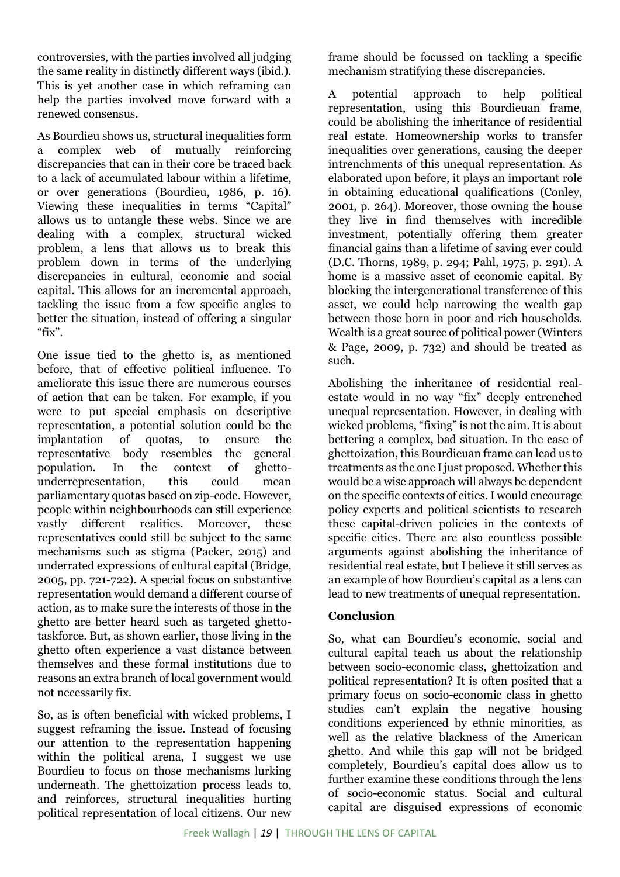controversies, with the parties involved all judging the same reality in distinctly different ways (ibid.). This is yet another case in which reframing can help the parties involved move forward with a renewed consensus.

As Bourdieu shows us, structural inequalities form a complex web of mutually reinforcing discrepancies that can in their core be traced back to a lack of accumulated labour within a lifetime, or over generations (Bourdieu, 1986, p. 16). Viewing these inequalities in terms "Capital" allows us to untangle these webs. Since we are dealing with a complex, structural wicked problem, a lens that allows us to break this problem down in terms of the underlying discrepancies in cultural, economic and social capital. This allows for an incremental approach, tackling the issue from a few specific angles to better the situation, instead of offering a singular "fix".

One issue tied to the ghetto is, as mentioned before, that of effective political influence. To ameliorate this issue there are numerous courses of action that can be taken. For example, if you were to put special emphasis on descriptive representation, a potential solution could be the implantation of quotas, to ensure the representative body resembles the general population. In the context of ghettounderrepresentation, this could mean parliamentary quotas based on zip-code. However, people within neighbourhoods can still experience vastly different realities. Moreover, these representatives could still be subject to the same mechanisms such as stigma (Packer, 2015) and underrated expressions of cultural capital (Bridge, 2005, pp. 721-722). A special focus on substantive representation would demand a different course of action, as to make sure the interests of those in the ghetto are better heard such as targeted ghettotaskforce. But, as shown earlier, those living in the ghetto often experience a vast distance between themselves and these formal institutions due to reasons an extra branch of local government would not necessarily fix.

So, as is often beneficial with wicked problems, I suggest reframing the issue. Instead of focusing our attention to the representation happening within the political arena, I suggest we use Bourdieu to focus on those mechanisms lurking underneath. The ghettoization process leads to, and reinforces, structural inequalities hurting political representation of local citizens. Our new

frame should be focussed on tackling a specific mechanism stratifying these discrepancies.

A potential approach to help political representation, using this Bourdieuan frame, could be abolishing the inheritance of residential real estate. Homeownership works to transfer inequalities over generations, causing the deeper intrenchments of this unequal representation. As elaborated upon before, it plays an important role in obtaining educational qualifications (Conley, 2001, p. 264). Moreover, those owning the house they live in find themselves with incredible investment, potentially offering them greater financial gains than a lifetime of saving ever could (D.C. Thorns, 1989, p. 294; Pahl, 1975, p. 291). A home is a massive asset of economic capital. By blocking the intergenerational transference of this asset, we could help narrowing the wealth gap between those born in poor and rich households. Wealth is a great source of political power (Winters & Page, 2009, p. 732) and should be treated as such.

Abolishing the inheritance of residential realestate would in no way "fix" deeply entrenched unequal representation. However, in dealing with wicked problems, "fixing" is not the aim. It is about bettering a complex, bad situation. In the case of ghettoization, this Bourdieuan frame can lead us to treatments as the one I just proposed. Whether this would be a wise approach will always be dependent on the specific contexts of cities. I would encourage policy experts and political scientists to research these capital-driven policies in the contexts of specific cities. There are also countless possible arguments against abolishing the inheritance of residential real estate, but I believe it still serves as an example of how Bourdieu's capital as a lens can lead to new treatments of unequal representation.

### **Conclusion**

So, what can Bourdieu's economic, social and cultural capital teach us about the relationship between socio-economic class, ghettoization and political representation? It is often posited that a primary focus on socio-economic class in ghetto studies can't explain the negative housing conditions experienced by ethnic minorities, as well as the relative blackness of the American ghetto. And while this gap will not be bridged completely, Bourdieu's capital does allow us to further examine these conditions through the lens of socio-economic status. Social and cultural capital are disguised expressions of economic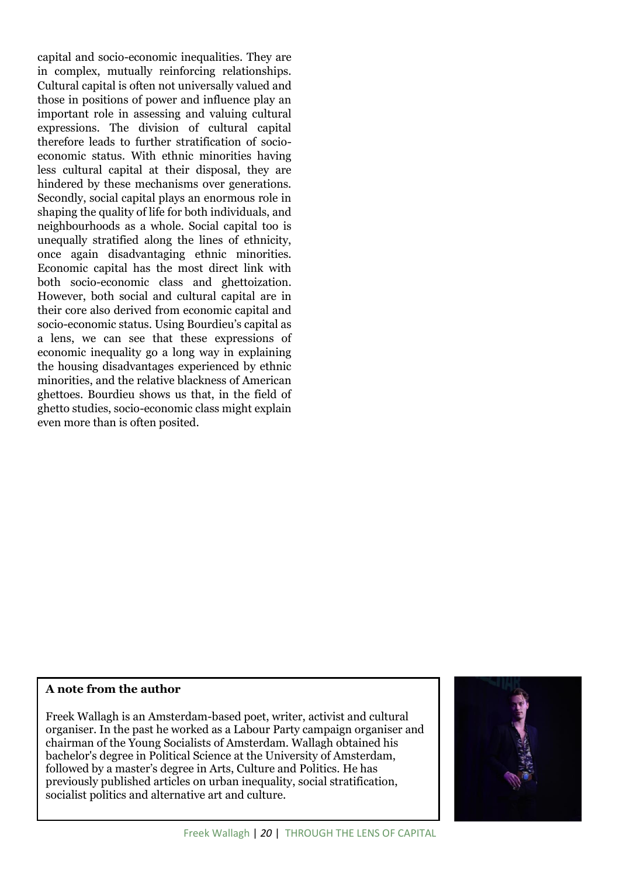capital and socio-economic inequalities. They are in complex, mutually reinforcing relationships. Cultural capital is often not universally valued and those in positions of power and influence play an important role in assessing and valuing cultural expressions. The division of cultural capital therefore leads to further stratification of socioeconomic status. With ethnic minorities having less cultural capital at their disposal, they are hindered by these mechanisms over generations. Secondly, social capital plays an enormous role in shaping the quality of life for both individuals, and neighbourhoods as a whole. Social capital too is unequally stratified along the lines of ethnicity, once again disadvantaging ethnic minorities. Economic capital has the most direct link with both socio-economic class and ghettoization. However, both social and cultural capital are in their core also derived from economic capital and socio-economic status. Using Bourdieu's capital as a lens, we can see that these expressions of economic inequality go a long way in explaining the housing disadvantages experienced by ethnic minorities, and the relative blackness of American ghettoes. Bourdieu shows us that, in the field of ghetto studies, socio-economic class might explain even more than is often posited.

#### **A note from the author**

Freek Wallagh is an Amsterdam-based poet, writer, activist and cultural organiser. In the past he worked as a Labour Party campaign organiser and chairman of the Young Socialists of Amsterdam. Wallagh obtained his bachelor's degree in Political Science at the University of Amsterdam, followed by a master's degree in Arts, Culture and Politics. He has previously published articles on urban inequality, social stratification, socialist politics and alternative art and culture.